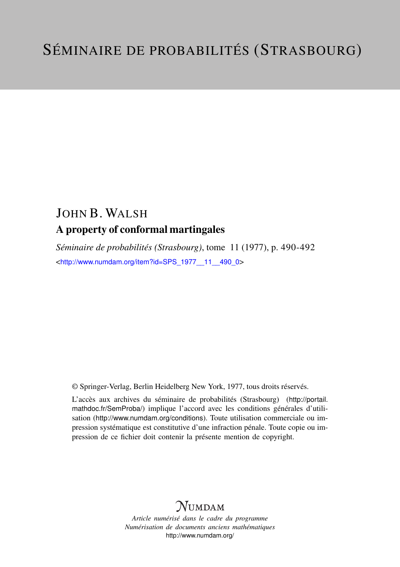## JOHN B. WALSH A property of conformal martingales

*Séminaire de probabilités (Strasbourg)*, tome 11 (1977), p. 490-492 <[http://www.numdam.org/item?id=SPS\\_1977\\_\\_11\\_\\_490\\_0](http://www.numdam.org/item?id=SPS_1977__11__490_0)>

© Springer-Verlag, Berlin Heidelberg New York, 1977, tous droits réservés.

L'accès aux archives du séminaire de probabilités (Strasbourg) ([http://portail.](http://portail.mathdoc.fr/SemProba/) [mathdoc.fr/SemProba/](http://portail.mathdoc.fr/SemProba/)) implique l'accord avec les conditions générales d'utilisation (<http://www.numdam.org/conditions>). Toute utilisation commerciale ou impression systématique est constitutive d'une infraction pénale. Toute copie ou impression de ce fichier doit contenir la présente mention de copyright.

## **NUMDAM**

*Article numérisé dans le cadre du programme Numérisation de documents anciens mathématiques* <http://www.numdam.org/>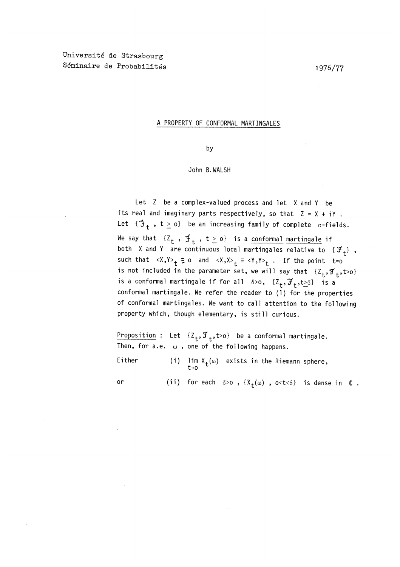## A PROPERTY OF CONFORMAL MARTINGALES

by

## John B. WALSH

Let Z be a complex-valued process and let X and Y be its real and imaginary parts respectively, so that  $Z = X + iY$ . Let  ${^\bullet\!3}_+$ ,  $t \ge 0$ } be an increasing family of complete  $\sigma$ -fields. We say that  $\{Z_t$ ,  $\mathfrak{I}_t$ ,  $t \geq 0\}$  is a <u>conformal martingale</u> if both X and Y are continuous local martingales relative to  $\{F_t\}$ , such that  $\langle X, Y \rangle_t \equiv o$  and  $\langle X, X \rangle_t \equiv \langle Y, Y \rangle_t$ . If the point t=o is not included in the parameter set, we will say that  $\{Z_t, \mathcal{F}_t, t > 0\}$ is a conformal martingale if for all  $\delta > 0$ ,  $\{Z_{+}, \mathcal{F}_{+}, t \geq \delta\}$  is a conformal martingale. We refer the reader to (1) for the properties of conformal martingales. We want to call attention to the following property which, though elementary, is still curious.

Proposition : Let  $\{Z_t, \mathcal{F}_t, t>0\}$  be a conformal martingale. Then, for a.e.  $\omega$ , one of the following happens.

Either (i)  $\lim_{t\to 0} X_t(\omega)$  exists in the Riemann sphere,

or (ii) for each  $\delta > 0$ ,  $\{X_t(\omega)$ ,  $0 < t < \delta\}$  is dense in (E.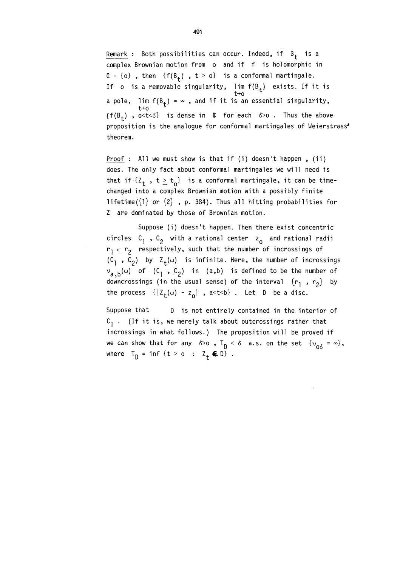Remark : Both possibilities can occur. Indeed, if  $B_+$  is a complex Brownian motion from o and if f is holomorphic in  $C - \{o\}$ , then  $\{f(B_t)$ ,  $t > o\}$  is a conformal martingale. If o is a removable singularity, lim f(B<sub>t</sub>) exists. If it is a pole, lim  $f(B_t) = \infty$  , and if it is an essential singularity,  ${f(B_t)}$ , o<t< $\delta$ } is dense in  $\ell$  for each  $\delta > 0$ . Thus the above proposition is the analogue for conformal martingales of Weierstrass' theorem.

Proof : All we must show is that if (i) doesn't happen, (ii) does. The only fact about conformal martingales we will need is that if  $\{Z_{+}, t \geq t_{0}\}\$  is a conformal martingale, it can be timechanged into a complex Brownian motion with a possibly finite lifetime( $(1)$  or  $(2)$ , p. 384). Thus all hitting probabilities for Z are dominated by those of Brownian motion.

Suppose (i) doesn't happen. Then there exist concentric circles  $C_1$ ,  $C_2$  with a rational center  $z_0$  and rational radii  $r_1 < r_2$  respectively, such that the number of incrossings of  $(C_1, C_2)$  by  $Z_t(\omega)$  is infinite. Here, the number of incrossings  $v_{a,b}(\omega)$  of  $(C_1, C_2)$  in (a,b) is defined to be the number of downcrossings (in the usual sense) of the interval  $(r_1, r_2)$  by the process  $\{|Z_{+}(\omega) - z_{0}|$ , a<t<br/>sb. Let D be a disc.

Suppose that D is not entirely contained in the interior of  $C_1$ . (If it is, we merely talk about outcrossings rather that incrossings in what follows.) The proposition will be proved if we can show that for any  $\delta > 0$ ,  $T_{\text{D}} < \delta$  a.s. on the set  $\{v_{\text{O}\delta} = \infty\}$ , where  $T_{\text{D}} = \inf \{ t > 0 : Z_t \in \mathbb{D} \}.$